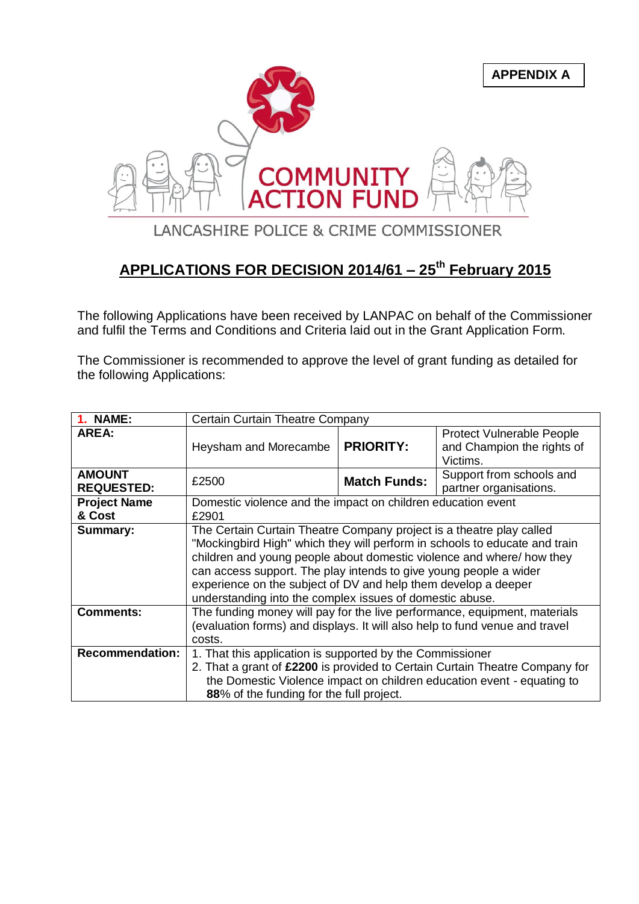

## **APPLICATIONS FOR DECISION 2014/61 – 25th February 2015**

The following Applications have been received by LANPAC on behalf of the Commissioner and fulfil the Terms and Conditions and Criteria laid out in the Grant Application Form.

The Commissioner is recommended to approve the level of grant funding as detailed for the following Applications:

| <b>1. NAME:</b>                    | Certain Curtain Theatre Company                                                                                                                                                                                                                                                                                                                                                                                                |                     |                                                                            |
|------------------------------------|--------------------------------------------------------------------------------------------------------------------------------------------------------------------------------------------------------------------------------------------------------------------------------------------------------------------------------------------------------------------------------------------------------------------------------|---------------------|----------------------------------------------------------------------------|
| <b>AREA:</b>                       | Heysham and Morecambe                                                                                                                                                                                                                                                                                                                                                                                                          | <b>PRIORITY:</b>    | <b>Protect Vulnerable People</b><br>and Champion the rights of<br>Victims. |
| <b>AMOUNT</b><br><b>REQUESTED:</b> | £2500                                                                                                                                                                                                                                                                                                                                                                                                                          | <b>Match Funds:</b> | Support from schools and<br>partner organisations.                         |
| <b>Project Name</b><br>& Cost      | Domestic violence and the impact on children education event<br>£2901                                                                                                                                                                                                                                                                                                                                                          |                     |                                                                            |
| <b>Summary:</b>                    | The Certain Curtain Theatre Company project is a theatre play called<br>"Mockingbird High" which they will perform in schools to educate and train<br>children and young people about domestic violence and where/ how they<br>can access support. The play intends to give young people a wider<br>experience on the subject of DV and help them develop a deeper<br>understanding into the complex issues of domestic abuse. |                     |                                                                            |
| <b>Comments:</b>                   | The funding money will pay for the live performance, equipment, materials<br>(evaluation forms) and displays. It will also help to fund venue and travel<br>costs.                                                                                                                                                                                                                                                             |                     |                                                                            |
| <b>Recommendation:</b>             | 1. That this application is supported by the Commissioner<br>2. That a grant of £2200 is provided to Certain Curtain Theatre Company for<br>the Domestic Violence impact on children education event - equating to<br>88% of the funding for the full project.                                                                                                                                                                 |                     |                                                                            |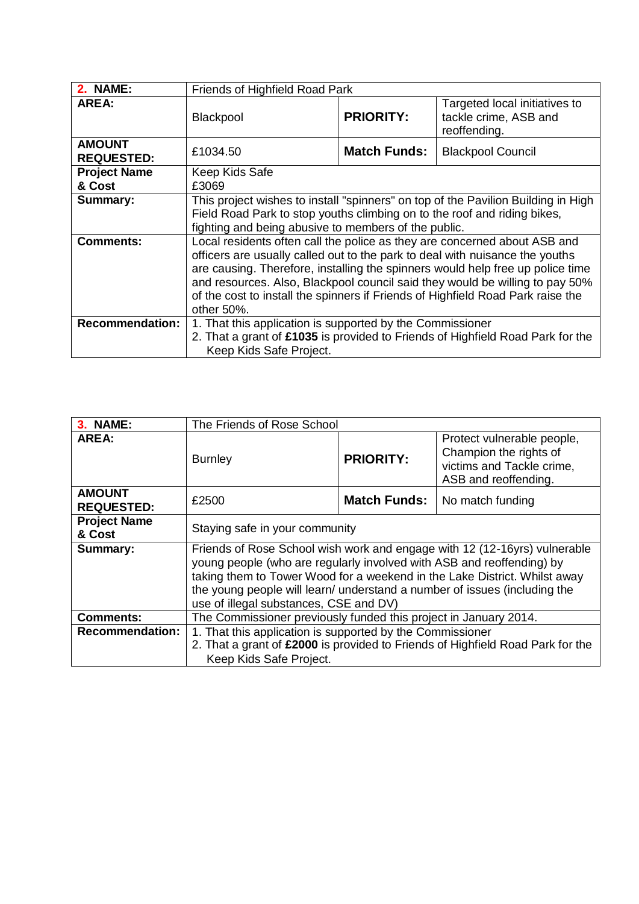| 2. NAME:                           | Friends of Highfield Road Park                                                                                                                                                                                                                                                                                                                                                                                                   |                     |                                                                        |
|------------------------------------|----------------------------------------------------------------------------------------------------------------------------------------------------------------------------------------------------------------------------------------------------------------------------------------------------------------------------------------------------------------------------------------------------------------------------------|---------------------|------------------------------------------------------------------------|
| <b>AREA:</b>                       | <b>Blackpool</b>                                                                                                                                                                                                                                                                                                                                                                                                                 | <b>PRIORITY:</b>    | Targeted local initiatives to<br>tackle crime, ASB and<br>reoffending. |
| <b>AMOUNT</b><br><b>REQUESTED:</b> | £1034.50                                                                                                                                                                                                                                                                                                                                                                                                                         | <b>Match Funds:</b> | <b>Blackpool Council</b>                                               |
| <b>Project Name</b>                | Keep Kids Safe                                                                                                                                                                                                                                                                                                                                                                                                                   |                     |                                                                        |
| & Cost                             | £3069                                                                                                                                                                                                                                                                                                                                                                                                                            |                     |                                                                        |
| <b>Summary:</b>                    | This project wishes to install "spinners" on top of the Pavilion Building in High<br>Field Road Park to stop youths climbing on to the roof and riding bikes,<br>fighting and being abusive to members of the public.                                                                                                                                                                                                            |                     |                                                                        |
| <b>Comments:</b>                   | Local residents often call the police as they are concerned about ASB and<br>officers are usually called out to the park to deal with nuisance the youths<br>are causing. Therefore, installing the spinners would help free up police time<br>and resources. Also, Blackpool council said they would be willing to pay 50%<br>of the cost to install the spinners if Friends of Highfield Road Park raise the<br>other $50\%$ . |                     |                                                                        |
| <b>Recommendation:</b>             | 1. That this application is supported by the Commissioner<br>2. That a grant of £1035 is provided to Friends of Highfield Road Park for the<br>Keep Kids Safe Project.                                                                                                                                                                                                                                                           |                     |                                                                        |

| <b>3. NAME:</b>                    | The Friends of Rose School                                                                                                                                                                                                                                                                                                                             |                     |                                                                                                           |
|------------------------------------|--------------------------------------------------------------------------------------------------------------------------------------------------------------------------------------------------------------------------------------------------------------------------------------------------------------------------------------------------------|---------------------|-----------------------------------------------------------------------------------------------------------|
| AREA:                              | <b>Burnley</b>                                                                                                                                                                                                                                                                                                                                         | <b>PRIORITY:</b>    | Protect vulnerable people,<br>Champion the rights of<br>victims and Tackle crime,<br>ASB and reoffending. |
| <b>AMOUNT</b><br><b>REQUESTED:</b> | £2500                                                                                                                                                                                                                                                                                                                                                  | <b>Match Funds:</b> | No match funding                                                                                          |
| <b>Project Name</b><br>& Cost      | Staying safe in your community                                                                                                                                                                                                                                                                                                                         |                     |                                                                                                           |
| <b>Summary:</b>                    | Friends of Rose School wish work and engage with 12 (12-16yrs) vulnerable<br>young people (who are regularly involved with ASB and reoffending) by<br>taking them to Tower Wood for a weekend in the Lake District. Whilst away<br>the young people will learn/ understand a number of issues (including the<br>use of illegal substances, CSE and DV) |                     |                                                                                                           |
| <b>Comments:</b>                   | The Commissioner previously funded this project in January 2014.                                                                                                                                                                                                                                                                                       |                     |                                                                                                           |
| <b>Recommendation:</b>             | 1. That this application is supported by the Commissioner<br>2. That a grant of £2000 is provided to Friends of Highfield Road Park for the<br>Keep Kids Safe Project.                                                                                                                                                                                 |                     |                                                                                                           |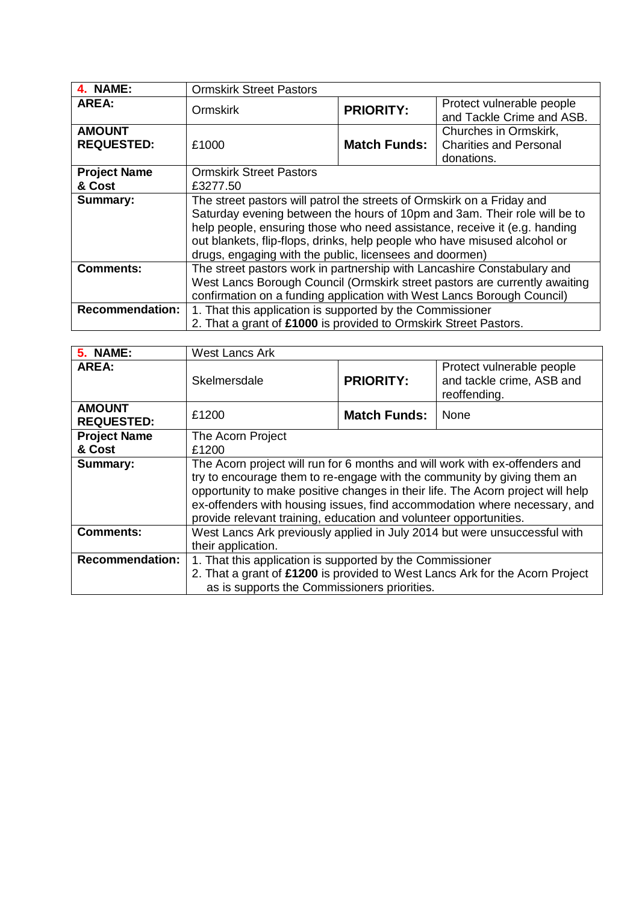| 4. NAME:                           | <b>Ormskirk Street Pastors</b>                                                                                                                                                                                                                                                                                                                                           |                     |                                                                      |
|------------------------------------|--------------------------------------------------------------------------------------------------------------------------------------------------------------------------------------------------------------------------------------------------------------------------------------------------------------------------------------------------------------------------|---------------------|----------------------------------------------------------------------|
| AREA:                              | <b>Ormskirk</b>                                                                                                                                                                                                                                                                                                                                                          | <b>PRIORITY:</b>    | Protect vulnerable people<br>and Tackle Crime and ASB.               |
| <b>AMOUNT</b><br><b>REQUESTED:</b> | £1000                                                                                                                                                                                                                                                                                                                                                                    | <b>Match Funds:</b> | Churches in Ormskirk,<br><b>Charities and Personal</b><br>donations. |
| <b>Project Name</b><br>& Cost      | <b>Ormskirk Street Pastors</b><br>£3277.50                                                                                                                                                                                                                                                                                                                               |                     |                                                                      |
| <b>Summary:</b>                    | The street pastors will patrol the streets of Ormskirk on a Friday and<br>Saturday evening between the hours of 10pm and 3am. Their role will be to<br>help people, ensuring those who need assistance, receive it (e.g. handing<br>out blankets, flip-flops, drinks, help people who have misused alcohol or<br>drugs, engaging with the public, licensees and doormen) |                     |                                                                      |
| <b>Comments:</b>                   | The street pastors work in partnership with Lancashire Constabulary and<br>West Lancs Borough Council (Ormskirk street pastors are currently awaiting<br>confirmation on a funding application with West Lancs Borough Council)                                                                                                                                          |                     |                                                                      |
| <b>Recommendation:</b>             | 1. That this application is supported by the Commissioner<br>2. That a grant of £1000 is provided to Ormskirk Street Pastors.                                                                                                                                                                                                                                            |                     |                                                                      |

| <b>5. NAME:</b>                    | <b>West Lancs Ark</b>                                                                                                                                                                                                                                                                                                                                                                       |                     |                                                                        |
|------------------------------------|---------------------------------------------------------------------------------------------------------------------------------------------------------------------------------------------------------------------------------------------------------------------------------------------------------------------------------------------------------------------------------------------|---------------------|------------------------------------------------------------------------|
| AREA:                              | Skelmersdale                                                                                                                                                                                                                                                                                                                                                                                | <b>PRIORITY:</b>    | Protect vulnerable people<br>and tackle crime, ASB and<br>reoffending. |
| <b>AMOUNT</b><br><b>REQUESTED:</b> | £1200                                                                                                                                                                                                                                                                                                                                                                                       | <b>Match Funds:</b> | None                                                                   |
| <b>Project Name</b>                | The Acorn Project                                                                                                                                                                                                                                                                                                                                                                           |                     |                                                                        |
| & Cost                             | £1200                                                                                                                                                                                                                                                                                                                                                                                       |                     |                                                                        |
| <b>Summary:</b>                    | The Acorn project will run for 6 months and will work with ex-offenders and<br>try to encourage them to re-engage with the community by giving them an<br>opportunity to make positive changes in their life. The Acorn project will help<br>ex-offenders with housing issues, find accommodation where necessary, and<br>provide relevant training, education and volunteer opportunities. |                     |                                                                        |
| <b>Comments:</b>                   | West Lancs Ark previously applied in July 2014 but were unsuccessful with<br>their application.                                                                                                                                                                                                                                                                                             |                     |                                                                        |
| <b>Recommendation:</b>             | 1. That this application is supported by the Commissioner<br>2. That a grant of £1200 is provided to West Lancs Ark for the Acorn Project                                                                                                                                                                                                                                                   |                     |                                                                        |
|                                    | as is supports the Commissioners priorities.                                                                                                                                                                                                                                                                                                                                                |                     |                                                                        |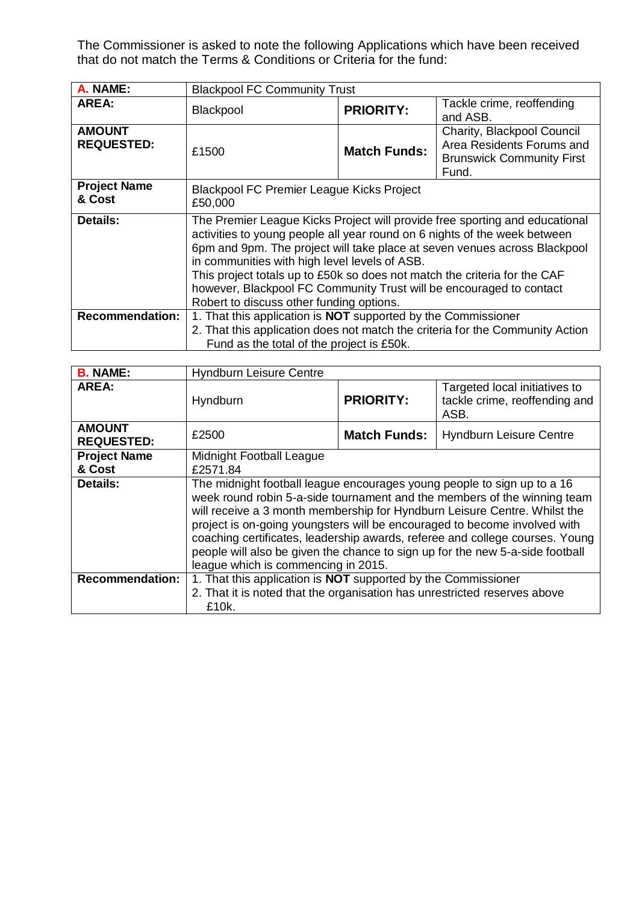The Commissioner is asked to note the following Applications which have been received that do not match the Terms & Conditions or Criteria for the fund:

| A. NAME:                           | <b>Blackpool FC Community Trust</b>                                                                                                                                                                                                                                                                                                                                                                                                                                                    |                     |                                                                                                      |
|------------------------------------|----------------------------------------------------------------------------------------------------------------------------------------------------------------------------------------------------------------------------------------------------------------------------------------------------------------------------------------------------------------------------------------------------------------------------------------------------------------------------------------|---------------------|------------------------------------------------------------------------------------------------------|
| AREA:                              | Blackpool                                                                                                                                                                                                                                                                                                                                                                                                                                                                              | <b>PRIORITY:</b>    | Tackle crime, reoffending<br>and ASB.                                                                |
| <b>AMOUNT</b><br><b>REQUESTED:</b> | £1500                                                                                                                                                                                                                                                                                                                                                                                                                                                                                  | <b>Match Funds:</b> | Charity, Blackpool Council<br>Area Residents Forums and<br><b>Brunswick Community First</b><br>Fund. |
| <b>Project Name</b><br>& Cost      | <b>Blackpool FC Premier League Kicks Project</b><br>£50,000                                                                                                                                                                                                                                                                                                                                                                                                                            |                     |                                                                                                      |
| <b>Details:</b>                    | The Premier League Kicks Project will provide free sporting and educational<br>activities to young people all year round on 6 nights of the week between<br>6pm and 9pm. The project will take place at seven venues across Blackpool<br>in communities with high level levels of ASB.<br>This project totals up to £50k so does not match the criteria for the CAF<br>however, Blackpool FC Community Trust will be encouraged to contact<br>Robert to discuss other funding options. |                     |                                                                                                      |
| <b>Recommendation:</b>             | 1. That this application is NOT supported by the Commissioner<br>2. That this application does not match the criteria for the Community Action<br>Fund as the total of the project is £50k.                                                                                                                                                                                                                                                                                            |                     |                                                                                                      |

| <b>B. NAME:</b>                    | <b>Hyndburn Leisure Centre</b>                                                                                                                                                                                                                                                                                                                                                                                                                                                                                        |                     |                                                                        |
|------------------------------------|-----------------------------------------------------------------------------------------------------------------------------------------------------------------------------------------------------------------------------------------------------------------------------------------------------------------------------------------------------------------------------------------------------------------------------------------------------------------------------------------------------------------------|---------------------|------------------------------------------------------------------------|
| <b>AREA:</b>                       | Hyndburn                                                                                                                                                                                                                                                                                                                                                                                                                                                                                                              | <b>PRIORITY:</b>    | Targeted local initiatives to<br>tackle crime, reoffending and<br>ASB. |
| <b>AMOUNT</b><br><b>REQUESTED:</b> | £2500                                                                                                                                                                                                                                                                                                                                                                                                                                                                                                                 | <b>Match Funds:</b> | <b>Hyndburn Leisure Centre</b>                                         |
| <b>Project Name</b>                | Midnight Football League                                                                                                                                                                                                                                                                                                                                                                                                                                                                                              |                     |                                                                        |
| & Cost                             | £2571.84                                                                                                                                                                                                                                                                                                                                                                                                                                                                                                              |                     |                                                                        |
| <b>Details:</b>                    | The midnight football league encourages young people to sign up to a 16<br>week round robin 5-a-side tournament and the members of the winning team<br>will receive a 3 month membership for Hyndburn Leisure Centre. Whilst the<br>project is on-going youngsters will be encouraged to become involved with<br>coaching certificates, leadership awards, referee and college courses. Young<br>people will also be given the chance to sign up for the new 5-a-side football<br>league which is commencing in 2015. |                     |                                                                        |
| <b>Recommendation:</b>             | 1. That this application is <b>NOT</b> supported by the Commissioner<br>2. That it is noted that the organisation has unrestricted reserves above<br>£10k.                                                                                                                                                                                                                                                                                                                                                            |                     |                                                                        |